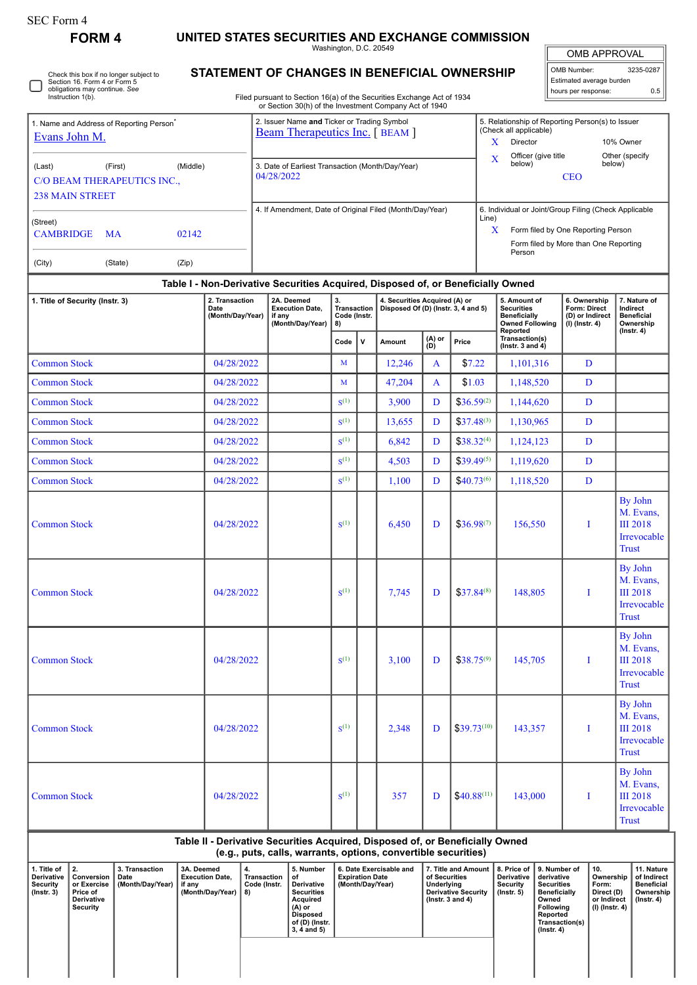| orm |
|-----|
|-----|

## **FORM 4 UNITED STATES SECURITIES AND EXCHANGE COMMISSION**

Washington, D.C. 20549

 $\sqrt{\phantom{a}}$ OMB APPROVAL

| OMB Number:              | 3235-0287 |  |  |  |  |  |  |  |  |
|--------------------------|-----------|--|--|--|--|--|--|--|--|
| Estimated average burden |           |  |  |  |  |  |  |  |  |
| hours per response:      | 0.5       |  |  |  |  |  |  |  |  |

Check this box if no longer subject to Section 16. Form 4 or Form 5 obligations may continue. *See* Instruction 1(b). ∩

## **STATEMENT OF CHANGES IN BENEFICIAL OWNERSHIP**

Filed pursuant to Section 16(a) of the Securities Exchange Act of 1934 or Section 30(h) of the Investment Company Act of 1940

|                                                                                                                                                                                                          | 1. Name and Address of Reporting Person <sup>7</sup><br>Evans John M. |                                                          | 2. Issuer Name and Ticker or Trading Symbol<br><b>Beam Therapeutics Inc.</b> [BEAM ] |                                                                                                                                  |                                                                               |                                            | 5. Relationship of Reporting Person(s) to Issuer<br>(Check all applicable)<br>Director<br>10% Owner<br>X<br>Officer (give title<br>Other (specify<br>X                                                |                                                                      |                                                                                                                                                    |                                                                                                |                                                                                                                                                |                                                                          |                                                                                |                                                                        |
|----------------------------------------------------------------------------------------------------------------------------------------------------------------------------------------------------------|-----------------------------------------------------------------------|----------------------------------------------------------|--------------------------------------------------------------------------------------|----------------------------------------------------------------------------------------------------------------------------------|-------------------------------------------------------------------------------|--------------------------------------------|-------------------------------------------------------------------------------------------------------------------------------------------------------------------------------------------------------|----------------------------------------------------------------------|----------------------------------------------------------------------------------------------------------------------------------------------------|------------------------------------------------------------------------------------------------|------------------------------------------------------------------------------------------------------------------------------------------------|--------------------------------------------------------------------------|--------------------------------------------------------------------------------|------------------------------------------------------------------------|
| (Last)                                                                                                                                                                                                   | (First)<br>C/O BEAM THERAPEUTICS INC.,<br><b>238 MAIN STREET</b>      |                                                          | 3. Date of Earliest Transaction (Month/Day/Year)<br>04/28/2022                       |                                                                                                                                  |                                                                               |                                            | below)<br>below)<br><b>CEO</b>                                                                                                                                                                        |                                                                      |                                                                                                                                                    |                                                                                                |                                                                                                                                                |                                                                          |                                                                                |                                                                        |
| (Street)<br><b>CAMBRIDGE</b>                                                                                                                                                                             | MA                                                                    |                                                          | 02142                                                                                |                                                                                                                                  | 4. If Amendment, Date of Original Filed (Month/Day/Year)                      |                                            |                                                                                                                                                                                                       |                                                                      | 6. Individual or Joint/Group Filing (Check Applicable<br>Line)<br>Form filed by One Reporting Person<br>X<br>Form filed by More than One Reporting |                                                                                                |                                                                                                                                                |                                                                          |                                                                                |                                                                        |
| (City)                                                                                                                                                                                                   |                                                                       | (State)                                                  | (Zip)                                                                                |                                                                                                                                  |                                                                               |                                            |                                                                                                                                                                                                       |                                                                      |                                                                                                                                                    |                                                                                                | Person                                                                                                                                         |                                                                          |                                                                                |                                                                        |
|                                                                                                                                                                                                          |                                                                       |                                                          | Table I - Non-Derivative Securities Acquired, Disposed of, or Beneficially Owned     |                                                                                                                                  |                                                                               |                                            |                                                                                                                                                                                                       |                                                                      |                                                                                                                                                    |                                                                                                |                                                                                                                                                |                                                                          |                                                                                |                                                                        |
| 1. Title of Security (Instr. 3)                                                                                                                                                                          |                                                                       | 2. Transaction<br>Date<br>(Month/Day/Year)               |                                                                                      | 2A. Deemed<br><b>Execution Date,</b><br>if any<br>(Month/Day/Year)                                                               |                                                                               | Transaction<br>Code (Instr.                |                                                                                                                                                                                                       | 4. Securities Acquired (A) or<br>Disposed Of (D) (Instr. 3, 4 and 5) |                                                                                                                                                    | 5. Amount of<br><b>Securities</b><br><b>Beneficially</b><br><b>Owned Following</b><br>Reported | 6. Ownership<br>Form: Direct<br>(D) or Indirect<br>(I) (Instr. 4)                                                                              |                                                                          | 7. Nature of<br>Indirect<br><b>Beneficial</b><br>Ownership<br>$($ Instr. 4 $)$ |                                                                        |
|                                                                                                                                                                                                          |                                                                       |                                                          |                                                                                      |                                                                                                                                  |                                                                               | $\mathsf{v}$<br>Code                       |                                                                                                                                                                                                       | Amount                                                               | (A) or<br>(D)                                                                                                                                      | Price                                                                                          | Transaction(s)<br>$($ lnstr. 3 and 4 $)$                                                                                                       |                                                                          |                                                                                |                                                                        |
| <b>Common Stock</b>                                                                                                                                                                                      |                                                                       |                                                          | 04/28/2022                                                                           |                                                                                                                                  |                                                                               | M                                          |                                                                                                                                                                                                       | 12,246                                                               | A                                                                                                                                                  |                                                                                                | \$7.22<br>1,101,316                                                                                                                            |                                                                          | D                                                                              |                                                                        |
| <b>Common Stock</b>                                                                                                                                                                                      |                                                                       |                                                          | 04/28/2022                                                                           |                                                                                                                                  |                                                                               | M                                          |                                                                                                                                                                                                       | 47,204                                                               | A                                                                                                                                                  | \$1.03                                                                                         | 1,148,520                                                                                                                                      |                                                                          | $\mathbf{D}$                                                                   |                                                                        |
| <b>Common Stock</b>                                                                                                                                                                                      |                                                                       |                                                          | 04/28/2022                                                                           |                                                                                                                                  |                                                                               | $S^{(1)}$                                  |                                                                                                                                                                                                       | 3,900                                                                | D                                                                                                                                                  | $$36.59^{(2)}$                                                                                 | 1,144,620                                                                                                                                      | D                                                                        |                                                                                |                                                                        |
| <b>Common Stock</b>                                                                                                                                                                                      |                                                                       |                                                          | 04/28/2022                                                                           |                                                                                                                                  |                                                                               | $S^{(1)}$                                  |                                                                                                                                                                                                       | 13,655                                                               | D                                                                                                                                                  | $$37.48^{(3)}$                                                                                 | 1,130,965                                                                                                                                      | $\mathbf{D}$                                                             |                                                                                |                                                                        |
| <b>Common Stock</b>                                                                                                                                                                                      |                                                                       |                                                          | 04/28/2022                                                                           |                                                                                                                                  |                                                                               | $S^{(1)}$                                  |                                                                                                                                                                                                       | 6,842                                                                | D                                                                                                                                                  | $$38.32^{(4)}$                                                                                 | 1,124,123                                                                                                                                      |                                                                          | D                                                                              |                                                                        |
| <b>Common Stock</b>                                                                                                                                                                                      |                                                                       |                                                          | 04/28/2022                                                                           |                                                                                                                                  |                                                                               | $S^{(1)}$                                  |                                                                                                                                                                                                       | 4,503                                                                | D                                                                                                                                                  | $$39.49^{(5)}$                                                                                 | 1,119,620                                                                                                                                      | D                                                                        |                                                                                |                                                                        |
| <b>Common Stock</b>                                                                                                                                                                                      |                                                                       |                                                          | 04/28/2022                                                                           |                                                                                                                                  |                                                                               | $S^{(1)}$                                  |                                                                                                                                                                                                       | 1,100                                                                | D                                                                                                                                                  | $$40.73^{(6)}$                                                                                 | 1,118,520                                                                                                                                      | D                                                                        |                                                                                |                                                                        |
| <b>Common Stock</b>                                                                                                                                                                                      |                                                                       | 04/28/2022                                               |                                                                                      |                                                                                                                                  | $S^{(1)}$                                                                     |                                            | 6,450                                                                                                                                                                                                 | D                                                                    | $$36.98^{(7)}$                                                                                                                                     | 156,550                                                                                        | I                                                                                                                                              |                                                                          | By John<br>M. Evans,<br><b>III</b> 2018<br>Irrevocable<br><b>Trust</b>         |                                                                        |
| <b>Common Stock</b>                                                                                                                                                                                      |                                                                       | 04/28/2022                                               |                                                                                      |                                                                                                                                  | $S^{(1)}$                                                                     |                                            | 7,745                                                                                                                                                                                                 | D                                                                    | $$37.84^{(8)}$                                                                                                                                     | 148,805                                                                                        | I                                                                                                                                              |                                                                          | By John<br>M. Evans,<br><b>III</b> 2018<br>Irrevocable<br><b>Trust</b>         |                                                                        |
| <b>Common Stock</b>                                                                                                                                                                                      |                                                                       | 04/28/2022                                               |                                                                                      |                                                                                                                                  | $S^{(1)}$                                                                     |                                            | 3,100                                                                                                                                                                                                 | D                                                                    | $$38.75^{(9)}$                                                                                                                                     | 145,705                                                                                        | I                                                                                                                                              |                                                                          | By John<br>M. Evans,<br><b>III</b> 2018<br>Irrevocable<br><b>Trust</b>         |                                                                        |
| <b>Common Stock</b>                                                                                                                                                                                      |                                                                       | 04/28/2022                                               |                                                                                      |                                                                                                                                  | $S^{(1)}$                                                                     |                                            | 2,348                                                                                                                                                                                                 | D                                                                    | $$39.73^{(10)}$                                                                                                                                    | 143,357                                                                                        | Τ                                                                                                                                              |                                                                          | By John<br>M. Evans,<br><b>III</b> 2018<br>Irrevocable<br><b>Trust</b>         |                                                                        |
| <b>Common Stock</b><br>04/28/2022                                                                                                                                                                        |                                                                       |                                                          |                                                                                      |                                                                                                                                  |                                                                               | $S^{(1)}$                                  |                                                                                                                                                                                                       | 357                                                                  | D                                                                                                                                                  | $$40.88^{(11)}$                                                                                | 143,000                                                                                                                                        | I                                                                        |                                                                                | By John<br>M. Evans,<br><b>III</b> 2018<br>Irrevocable<br><b>Trust</b> |
|                                                                                                                                                                                                          |                                                                       |                                                          |                                                                                      |                                                                                                                                  | Table II - Derivative Securities Acquired, Disposed of, or Beneficially Owned |                                            |                                                                                                                                                                                                       |                                                                      |                                                                                                                                                    |                                                                                                |                                                                                                                                                |                                                                          |                                                                                |                                                                        |
| 2.<br>1. Title of<br>3. Transaction<br>Derivative<br>Conversion<br>Date<br><b>Security</b><br>(Month/Day/Year)<br>or Exercise<br>if any<br>$($ Instr. 3 $)$<br>Price of<br>Derivative<br><b>Security</b> |                                                                       | 3A. Deemed<br><b>Execution Date,</b><br>(Month/Day/Year) | 4.<br>Transaction<br>Code (Instr.<br>8)                                              | 5. Number<br>of<br>Derivative<br><b>Securities</b><br>Acquired<br>(A) or<br><b>Disposed</b><br>of (D) (Instr.<br>$3, 4$ and $5)$ |                                                                               | <b>Expiration Date</b><br>(Month/Day/Year) | (e.g., puts, calls, warrants, options, convertible securities)<br>6. Date Exercisable and<br>7. Title and Amount<br>of Securities<br>Underlying<br><b>Derivative Security</b><br>( $lnstr. 3 and 4$ ) |                                                                      |                                                                                                                                                    | 8. Price of<br>Derivative<br><b>Security</b><br>$($ lnstr. 5 $)$                               | 9. Number of<br>derivative<br><b>Securities</b><br><b>Beneficially</b><br>Owned<br>Following<br>Reported<br>Transaction(s)<br>$($ Instr. 4 $)$ | 10.<br>Ownership<br>Form:<br>Direct (D)<br>or Indirect<br>(I) (Instr. 4) |                                                                                |                                                                        |